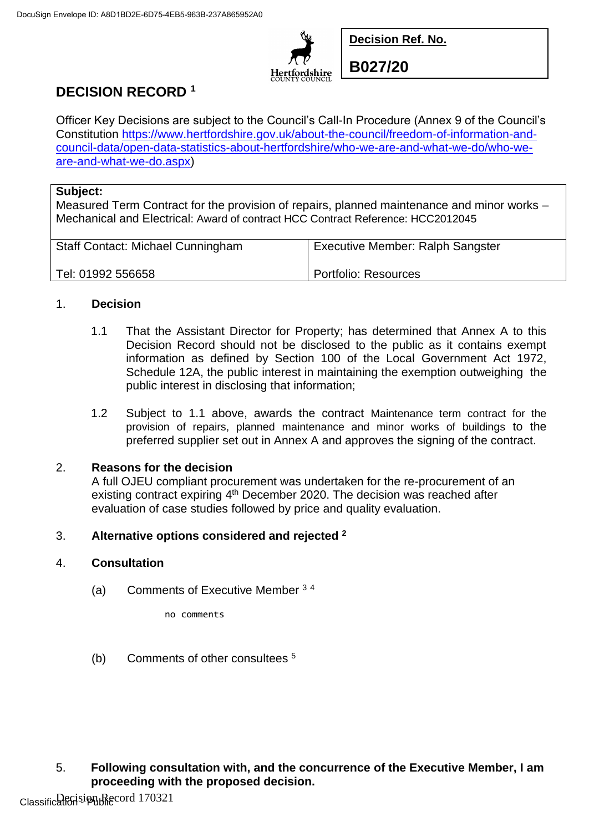

**Decision Ref. No.**

**B027/20**

# **DECISION RECORD <sup>1</sup>**

Officer Key Decisions are subject to the Council's Call-In Procedure (Annex 9 of the Council's Constitution [https://www.hertfordshire.gov.uk/about-the-council/freedom-of-information-and](https://www.hertfordshire.gov.uk/about-the-council/freedom-of-information-and-council-data/open-data-statistics-about-hertfordshire/who-we-are-and-what-we-do/who-we-are-and-what-we-do.aspx)[council-data/open-data-statistics-about-hertfordshire/who-we-are-and-what-we-do/who-we](https://www.hertfordshire.gov.uk/about-the-council/freedom-of-information-and-council-data/open-data-statistics-about-hertfordshire/who-we-are-and-what-we-do/who-we-are-and-what-we-do.aspx)[are-and-what-we-do.aspx\)](https://www.hertfordshire.gov.uk/about-the-council/freedom-of-information-and-council-data/open-data-statistics-about-hertfordshire/who-we-are-and-what-we-do/who-we-are-and-what-we-do.aspx)

## **Subject:**

Measured Term Contract for the provision of repairs, planned maintenance and minor works – Mechanical and Electrical: Award of contract HCC Contract Reference: HCC2012045

| <b>Staff Contact: Michael Cunningham</b> | <b>Executive Member: Ralph Sangster</b> |
|------------------------------------------|-----------------------------------------|
| Tel: 01992 556658                        | Portfolio: Resources                    |

# 1. **Decision**

- 1.1 That the Assistant Director for Property; has determined that Annex A to this Decision Record should not be disclosed to the public as it contains exempt information as defined by Section 100 of the Local Government Act 1972, Schedule 12A, the public interest in maintaining the exemption outweighing the public interest in disclosing that information;
- 1.2 Subject to 1.1 above, awards the contract Maintenance term contract for the provision of repairs, planned maintenance and minor works of buildings to the preferred supplier set out in Annex A and approves the signing of the contract.

### 2. **Reasons for the decision**

A full OJEU compliant procurement was undertaken for the re-procurement of an existing contract expiring 4<sup>th</sup> December 2020. The decision was reached after evaluation of case studies followed by price and quality evaluation.

# 3. **Alternative options considered and rejected <sup>2</sup>**

### 4. **Consultation**

(a) Comments of Executive Member <sup>3</sup> <sup>4</sup>

no comments

(b) Comments of other consultees <sup>5</sup>

# 5. **Following consultation with, and the concurrence of the Executive Member, I am proceeding with the proposed decision.**